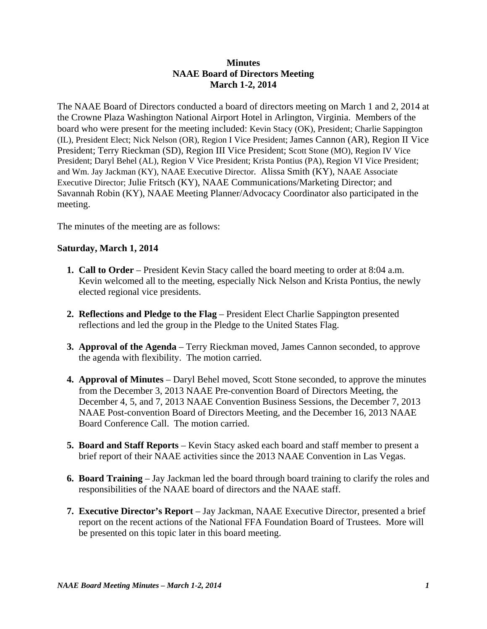## **Minutes NAAE Board of Directors Meeting March 1-2, 2014**

The NAAE Board of Directors conducted a board of directors meeting on March 1 and 2, 2014 at the Crowne Plaza Washington National Airport Hotel in Arlington, Virginia. Members of the board who were present for the meeting included: Kevin Stacy (OK), President; Charlie Sappington (IL), President Elect; Nick Nelson (OR), Region I Vice President; James Cannon (AR), Region II Vice President; Terry Rieckman (SD), Region III Vice President; Scott Stone (MO), Region IV Vice President; Daryl Behel (AL), Region V Vice President; Krista Pontius (PA), Region VI Vice President; and Wm. Jay Jackman (KY), NAAE Executive Director. Alissa Smith (KY), NAAE Associate Executive Director; Julie Fritsch (KY), NAAE Communications/Marketing Director; and Savannah Robin (KY), NAAE Meeting Planner/Advocacy Coordinator also participated in the meeting.

The minutes of the meeting are as follows:

## **Saturday, March 1, 2014**

- **1. Call to Order** President Kevin Stacy called the board meeting to order at 8:04 a.m. Kevin welcomed all to the meeting, especially Nick Nelson and Krista Pontius, the newly elected regional vice presidents.
- **2. Reflections and Pledge to the Flag** President Elect Charlie Sappington presented reflections and led the group in the Pledge to the United States Flag.
- **3. Approval of the Agenda** Terry Rieckman moved, James Cannon seconded, to approve the agenda with flexibility. The motion carried.
- **4. Approval of Minutes** Daryl Behel moved, Scott Stone seconded, to approve the minutes from the December 3, 2013 NAAE Pre-convention Board of Directors Meeting, the December 4, 5, and 7, 2013 NAAE Convention Business Sessions, the December 7, 2013 NAAE Post-convention Board of Directors Meeting, and the December 16, 2013 NAAE Board Conference Call. The motion carried.
- **5. Board and Staff Reports** Kevin Stacy asked each board and staff member to present a brief report of their NAAE activities since the 2013 NAAE Convention in Las Vegas.
- **6. Board Training** Jay Jackman led the board through board training to clarify the roles and responsibilities of the NAAE board of directors and the NAAE staff.
- **7. Executive Director's Report** Jay Jackman, NAAE Executive Director, presented a brief report on the recent actions of the National FFA Foundation Board of Trustees. More will be presented on this topic later in this board meeting.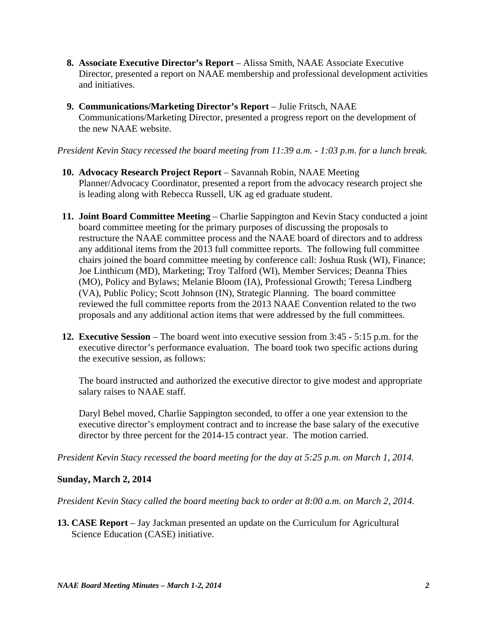- **8. Associate Executive Director's Report** Alissa Smith, NAAE Associate Executive Director, presented a report on NAAE membership and professional development activities and initiatives.
- **9. Communications/Marketing Director's Report** Julie Fritsch, NAAE Communications/Marketing Director, presented a progress report on the development of the new NAAE website.

*President Kevin Stacy recessed the board meeting from 11:39 a.m. - 1:03 p.m. for a lunch break.*

- **10. Advocacy Research Project Report** Savannah Robin, NAAE Meeting Planner/Advocacy Coordinator, presented a report from the advocacy research project she is leading along with Rebecca Russell, UK ag ed graduate student.
- **11. Joint Board Committee Meeting** Charlie Sappington and Kevin Stacy conducted a joint board committee meeting for the primary purposes of discussing the proposals to restructure the NAAE committee process and the NAAE board of directors and to address any additional items from the 2013 full committee reports. The following full committee chairs joined the board committee meeting by conference call: Joshua Rusk (WI), Finance; Joe Linthicum (MD), Marketing; Troy Talford (WI), Member Services; Deanna Thies (MO), Policy and Bylaws; Melanie Bloom (IA), Professional Growth; Teresa Lindberg (VA), Public Policy; Scott Johnson (IN), Strategic Planning. The board committee reviewed the full committee reports from the 2013 NAAE Convention related to the two proposals and any additional action items that were addressed by the full committees.
- **12. Executive Session**  The board went into executive session from 3:45 5:15 p.m. for the executive director's performance evaluation. The board took two specific actions during the executive session, as follows:

The board instructed and authorized the executive director to give modest and appropriate salary raises to NAAE staff.

Daryl Behel moved, Charlie Sappington seconded, to offer a one year extension to the executive director's employment contract and to increase the base salary of the executive director by three percent for the 2014-15 contract year. The motion carried.

*President Kevin Stacy recessed the board meeting for the day at 5:25 p.m. on March 1, 2014.*

## **Sunday, March 2, 2014**

*President Kevin Stacy called the board meeting back to order at 8:00 a.m. on March 2, 2014.* 

**13. CASE Report** – Jay Jackman presented an update on the Curriculum for Agricultural Science Education (CASE) initiative.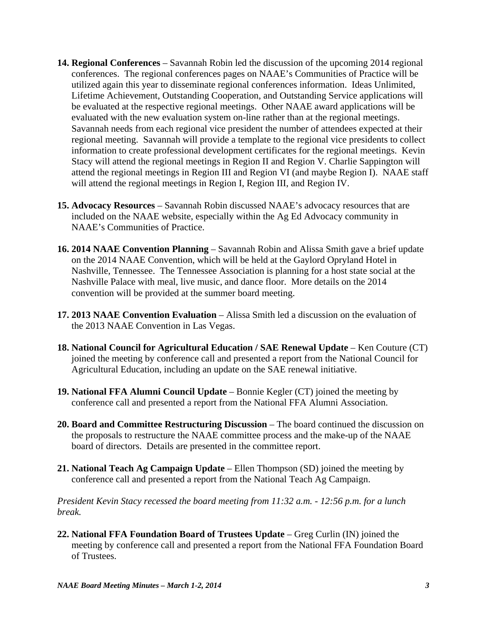- **14. Regional Conferences**  Savannah Robin led the discussion of the upcoming 2014 regional conferences. The regional conferences pages on NAAE's Communities of Practice will be utilized again this year to disseminate regional conferences information. Ideas Unlimited, Lifetime Achievement, Outstanding Cooperation, and Outstanding Service applications will be evaluated at the respective regional meetings. Other NAAE award applications will be evaluated with the new evaluation system on-line rather than at the regional meetings. Savannah needs from each regional vice president the number of attendees expected at their regional meeting. Savannah will provide a template to the regional vice presidents to collect information to create professional development certificates for the regional meetings. Kevin Stacy will attend the regional meetings in Region II and Region V. Charlie Sappington will attend the regional meetings in Region III and Region VI (and maybe Region I). NAAE staff will attend the regional meetings in Region I, Region III, and Region IV.
- **15. Advocacy Resources**  Savannah Robin discussed NAAE's advocacy resources that are included on the NAAE website, especially within the Ag Ed Advocacy community in NAAE's Communities of Practice.
- **16. 2014 NAAE Convention Planning**  Savannah Robin and Alissa Smith gave a brief update on the 2014 NAAE Convention, which will be held at the Gaylord Opryland Hotel in Nashville, Tennessee. The Tennessee Association is planning for a host state social at the Nashville Palace with meal, live music, and dance floor. More details on the 2014 convention will be provided at the summer board meeting.
- **17. 2013 NAAE Convention Evaluation**  Alissa Smith led a discussion on the evaluation of the 2013 NAAE Convention in Las Vegas.
- **18. National Council for Agricultural Education / SAE Renewal Update**  Ken Couture (CT) joined the meeting by conference call and presented a report from the National Council for Agricultural Education, including an update on the SAE renewal initiative.
- **19. National FFA Alumni Council Update**  Bonnie Kegler (CT) joined the meeting by conference call and presented a report from the National FFA Alumni Association.
- **20. Board and Committee Restructuring Discussion**  The board continued the discussion on the proposals to restructure the NAAE committee process and the make-up of the NAAE board of directors. Details are presented in the committee report.
- **21. National Teach Ag Campaign Update**  Ellen Thompson (SD) joined the meeting by conference call and presented a report from the National Teach Ag Campaign.

*President Kevin Stacy recessed the board meeting from 11:32 a.m. - 12:56 p.m. for a lunch break.*

**22. National FFA Foundation Board of Trustees Update** – Greg Curlin (IN) joined the meeting by conference call and presented a report from the National FFA Foundation Board of Trustees.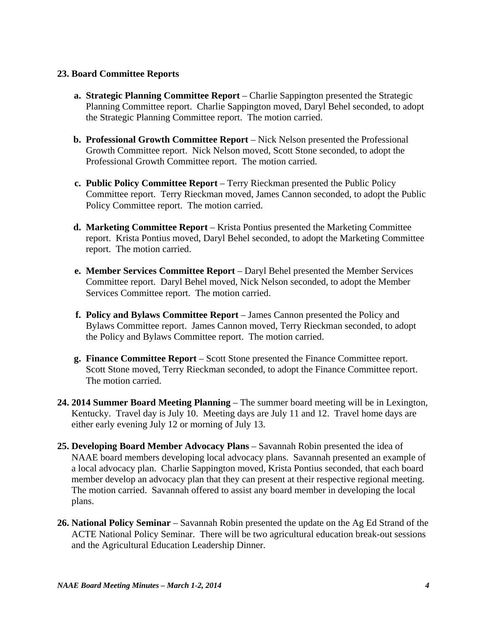## **23. Board Committee Reports**

- **a. Strategic Planning Committee Report** Charlie Sappington presented the Strategic Planning Committee report. Charlie Sappington moved, Daryl Behel seconded, to adopt the Strategic Planning Committee report. The motion carried.
- **b. Professional Growth Committee Report** Nick Nelson presented the Professional Growth Committee report. Nick Nelson moved, Scott Stone seconded, to adopt the Professional Growth Committee report. The motion carried.
- **c. Public Policy Committee Report**  Terry Rieckman presented the Public Policy Committee report. Terry Rieckman moved, James Cannon seconded, to adopt the Public Policy Committee report. The motion carried.
- **d. Marketing Committee Report**  Krista Pontius presented the Marketing Committee report. Krista Pontius moved, Daryl Behel seconded, to adopt the Marketing Committee report. The motion carried.
- **e. Member Services Committee Report** Daryl Behel presented the Member Services Committee report. Daryl Behel moved, Nick Nelson seconded, to adopt the Member Services Committee report. The motion carried.
- **f. Policy and Bylaws Committee Report** James Cannon presented the Policy and Bylaws Committee report. James Cannon moved, Terry Rieckman seconded, to adopt the Policy and Bylaws Committee report. The motion carried.
- **g. Finance Committee Report**  Scott Stone presented the Finance Committee report. Scott Stone moved, Terry Rieckman seconded, to adopt the Finance Committee report. The motion carried.
- **24. 2014 Summer Board Meeting Planning**  The summer board meeting will be in Lexington, Kentucky. Travel day is July 10. Meeting days are July 11 and 12. Travel home days are either early evening July 12 or morning of July 13.
- **25. Developing Board Member Advocacy Plans**  Savannah Robin presented the idea of NAAE board members developing local advocacy plans. Savannah presented an example of a local advocacy plan. Charlie Sappington moved, Krista Pontius seconded, that each board member develop an advocacy plan that they can present at their respective regional meeting. The motion carried. Savannah offered to assist any board member in developing the local plans.
- **26. National Policy Seminar**  Savannah Robin presented the update on the Ag Ed Strand of the ACTE National Policy Seminar. There will be two agricultural education break-out sessions and the Agricultural Education Leadership Dinner.